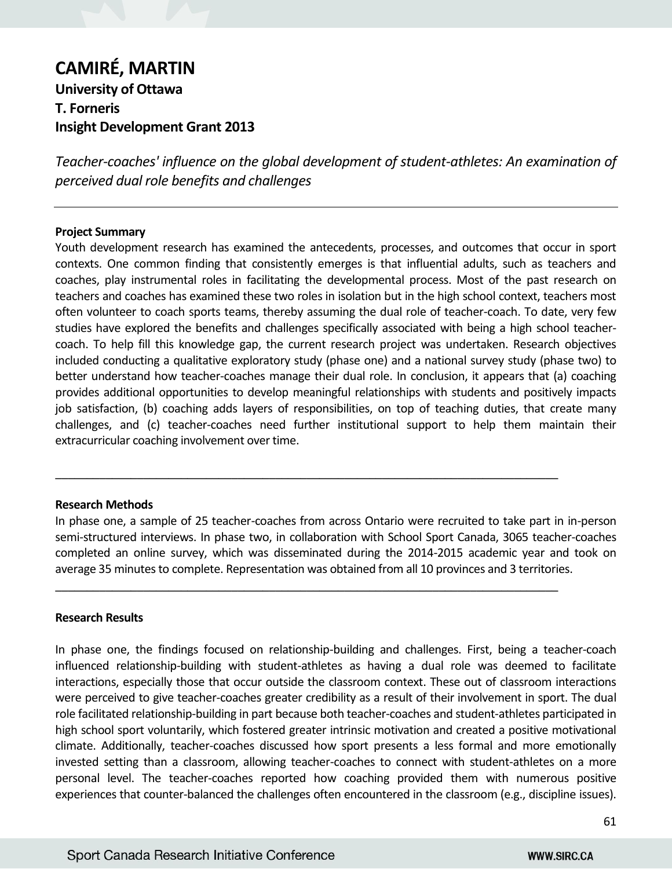# **CAMIRÉ, MARTIN University of Ottawa T. Forneris Insight Development Grant 2013**

*Teacher-coaches' influence on the global development of student-athletes: An examination of perceived dual role benefits and challenges*

### **Project Summary**

Youth development research has examined the antecedents, processes, and outcomes that occur in sport contexts. One common finding that consistently emerges is that influential adults, such as teachers and coaches, play instrumental roles in facilitating the developmental process. Most of the past research on teachers and coaches has examined these two roles in isolation but in the high school context, teachers most often volunteer to coach sports teams, thereby assuming the dual role of teacher-coach. To date, very few studies have explored the benefits and challenges specifically associated with being a high school teachercoach. To help fill this knowledge gap, the current research project was undertaken. Research objectives included conducting a qualitative exploratory study (phase one) and a national survey study (phase two) to better understand how teacher-coaches manage their dual role. In conclusion, it appears that (a) coaching provides additional opportunities to develop meaningful relationships with students and positively impacts job satisfaction, (b) coaching adds layers of responsibilities, on top of teaching duties, that create many challenges, and (c) teacher-coaches need further institutional support to help them maintain their extracurricular coaching involvement over time.

### **Research Methods**

In phase one, a sample of 25 teacher-coaches from across Ontario were recruited to take part in in-person semi-structured interviews. In phase two, in collaboration with School Sport Canada, 3065 teacher-coaches completed an online survey, which was disseminated during the 2014-2015 academic year and took on average 35 minutes to complete. Representation was obtained from all 10 provinces and 3 territories.

\_\_\_\_\_\_\_\_\_\_\_\_\_\_\_\_\_\_\_\_\_\_\_\_\_\_\_\_\_\_\_\_\_\_\_\_\_\_\_\_\_\_\_\_\_\_\_\_\_\_\_\_\_\_\_\_\_\_\_\_\_\_\_\_\_\_\_\_\_\_\_\_\_\_\_\_\_\_\_\_

\_\_\_\_\_\_\_\_\_\_\_\_\_\_\_\_\_\_\_\_\_\_\_\_\_\_\_\_\_\_\_\_\_\_\_\_\_\_\_\_\_\_\_\_\_\_\_\_\_\_\_\_\_\_\_\_\_\_\_\_\_\_\_\_\_\_\_\_\_\_\_\_\_\_\_\_\_\_\_\_

### **Research Results**

In phase one, the findings focused on relationship-building and challenges. First, being a teacher-coach influenced relationship-building with student-athletes as having a dual role was deemed to facilitate interactions, especially those that occur outside the classroom context. These out of classroom interactions were perceived to give teacher-coaches greater credibility as a result of their involvement in sport. The dual role facilitated relationship-building in part because both teacher-coaches and student-athletes participated in high school sport voluntarily, which fostered greater intrinsic motivation and created a positive motivational climate. Additionally, teacher-coaches discussed how sport presents a less formal and more emotionally invested setting than a classroom, allowing teacher-coaches to connect with student-athletes on a more personal level. The teacher-coaches reported how coaching provided them with numerous positive experiences that counter-balanced the challenges often encountered in the classroom (e.g., discipline issues).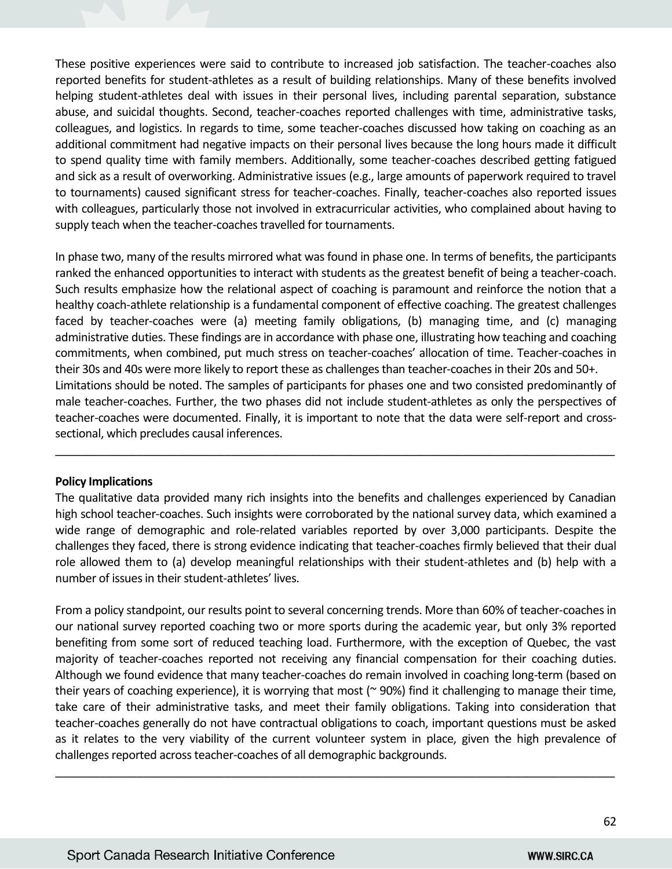These positive experiences were said to contribute to increased job satisfaction. The teacher-coaches also reported benefits for student-athletes as a result of building relationships. Many of these benefits involved helping student-athletes deal with issues in their personal lives, including parental separation, substance abuse, and suicidal thoughts. Second, teacher-coaches reported challenges with time, administrative tasks, colleagues, and logistics. In regards to time, some teacher-coaches discussed how taking on coaching as an additional commitment had negative impacts on their personal lives because the long hours made it difficult to spend quality time with family members. Additionally, some teacher-coaches described getting fatigued and sick as a result of overworking. Administrative issues (e.g., large amounts of paperwork required to travel to tournaments) caused significant stress for teacher-coaches. Finally, teacher-coaches also reported issues with colleagues, particularly those not involved in extracurricular activities, who complained about having to supply teach when the teacher-coaches travelled for tournaments.

In phase two, many of the results mirrored what was found in phase one. In terms of benefits, the participants ranked the enhanced opportunities to interact with students as the greatest benefit of being a teacher-coach. Such results emphasize how the relational aspect of coaching is paramount and reinforce the notion that a healthy coach-athlete relationship is a fundamental component of effective coaching. The greatest challenges faced by teacher-coaches were (a) meeting family obligations, (b) managing time, and (c) managing administrative duties. These findings are in accordance with phase one, illustrating how teaching and coaching commitments, when combined, put much stress on teacher-coaches' allocation of time. Teacher-coaches in their 30s and 40s were more likely to report these as challenges than teacher-coaches in their 20s and 50+. Limitations should be noted. The samples of participants for phases one and two consisted predominantly of male teacher-coaches. Further, the two phases did not include student-athletes as only the perspectives of teacher-coaches were documented. Finally, it is important to note that the data were self-report and crosssectional, which precludes causal inferences.

## **Policy Implications**

The qualitative data provided many rich insights into the benefits and challenges experienced by Canadian high school teacher-coaches. Such insights were corroborated by the national survey data, which examined a wide range of demographic and role-related variables reported by over 3,000 participants. Despite the challenges they faced, there is strong evidence indicating that teacher-coaches firmly believed that their dual role allowed them to (a) develop meaningful relationships with their student-athletes and (b) help with a number of issues in their student-athletes' lives.

\_\_\_\_\_\_\_\_\_\_\_\_\_\_\_\_\_\_\_\_\_\_\_\_\_\_\_\_\_\_\_\_\_\_\_\_\_\_\_\_\_\_\_\_\_\_\_\_\_\_\_\_\_\_\_\_\_\_\_\_\_\_\_\_\_\_\_\_\_\_\_\_\_\_\_\_\_\_\_\_\_\_\_\_\_\_\_\_\_

From a policy standpoint, our results point to several concerning trends. More than 60% of teacher-coaches in our national survey reported coaching two or more sports during the academic year, but only 3% reported benefiting from some sort of reduced teaching load. Furthermore, with the exception of Quebec, the vast majority of teacher-coaches reported not receiving any financial compensation for their coaching duties. Although we found evidence that many teacher-coaches do remain involved in coaching long-term (based on their years of coaching experience), it is worrying that most ( $\approx$  90%) find it challenging to manage their time, take care of their administrative tasks, and meet their family obligations. Taking into consideration that teacher-coaches generally do not have contractual obligations to coach, important questions must be asked as it relates to the very viability of the current volunteer system in place, given the high prevalence of challenges reported across teacher-coaches of all demographic backgrounds.

\_\_\_\_\_\_\_\_\_\_\_\_\_\_\_\_\_\_\_\_\_\_\_\_\_\_\_\_\_\_\_\_\_\_\_\_\_\_\_\_\_\_\_\_\_\_\_\_\_\_\_\_\_\_\_\_\_\_\_\_\_\_\_\_\_\_\_\_\_\_\_\_\_\_\_\_\_\_\_\_\_\_\_\_\_\_\_\_\_